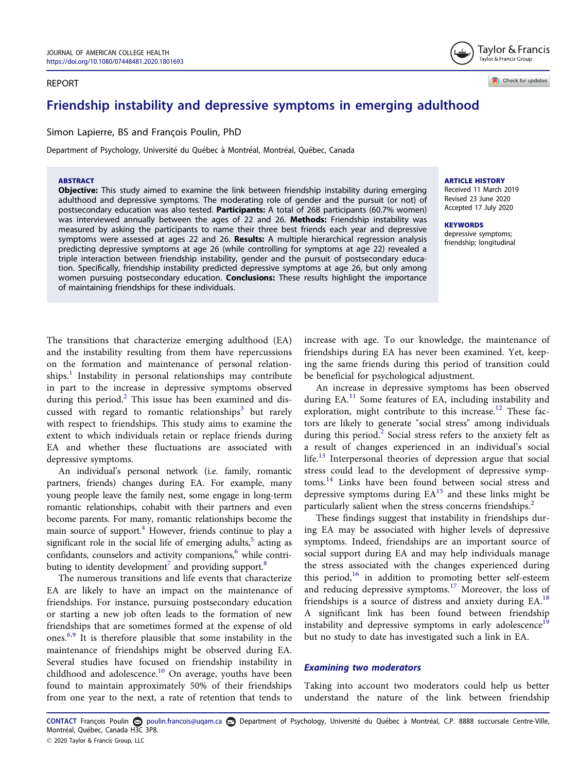## <span id="page-0-0"></span>REPORT

Taylor & Francis Taylor & Francis Group

Check for updates

# Friendship instability and depressive symptoms in emerging adulthood

Simon Lapierre, BS and François Poulin, PhD

Department of Psychology, Université du Québec à Montréal, Montréal, Québec, Canada

#### ABSTRACT

**Objective:** This study aimed to examine the link between friendship instability during emerging adulthood and depressive symptoms. The moderating role of gender and the pursuit (or not) of postsecondary education was also tested. Participants: A total of 268 participants (60.7% women) was interviewed annually between the ages of 22 and 26. Methods: Friendship instability was measured by asking the participants to name their three best friends each year and depressive symptoms were assessed at ages 22 and 26. Results: A multiple hierarchical regression analysis predicting depressive symptoms at age 26 (while controlling for symptoms at age 22) revealed a triple interaction between friendship instability, gender and the pursuit of postsecondary education. Specifically, friendship instability predicted depressive symptoms at age 26, but only among women pursuing postsecondary education. Conclusions: These results highlight the importance of maintaining friendships for these individuals.

ARTICLE HISTORY

Received 11 March 2019 Revised 23 June 2020 Accepted 17 July 2020

#### **KEYWORDS**

depressive symptoms; friendship; longitudinal

The transitions that characterize emerging adulthood (EA) and the instability resulting from them have repercussions on the formation and maintenance of personal relation- $\text{ships.}$ <sup>[1](#page-3-0)</sup> Instability in personal relationships may contribute in part to the increase in depressive symptoms observed during this period.<sup>[2](#page-3-0)</sup> This issue has been examined and discussed with regard to romantic relationships $3$  but rarely with respect to friendships. This study aims to examine the extent to which individuals retain or replace friends during EA and whether these fluctuations are associated with depressive symptoms.

An individual's personal network (i.e. family, romantic partners, friends) changes during EA. For example, many young people leave the family nest, some engage in long-term romantic relationships, cohabit with their partners and even become parents. For many, romantic relationships become the main source of support.<sup>4</sup> However, friends continue to play a significant role in the social life of emerging adults, $5$  acting as confidants, counselors and activity companions,<sup>[6](#page-4-0)</sup> while contri-buting to identity development<sup>[7](#page-4-0)</sup> and providing support.<sup>8</sup>

The numerous transitions and life events that characterize EA are likely to have an impact on the maintenance of friendships. For instance, pursuing postsecondary education or starting a new job often leads to the formation of new friendships that are sometimes formed at the expense of old ones.<sup>[6,9](#page-4-0)</sup> It is therefore plausible that some instability in the maintenance of friendships might be observed during EA. Several studies have focused on friendship instability in childhood and adolescence.<sup>[10](#page-4-0)</sup> On average, youths have been found to maintain approximately 50% of their friendships from one year to the next, a rate of retention that tends to increase with age. To our knowledge, the maintenance of friendships during EA has never been examined. Yet, keeping the same friends during this period of transition could be beneficial for psychological adjustment.

An increase in depressive symptoms has been observed during EA.<sup>11</sup> Some features of EA, including instability and exploration, might contribute to this increase.<sup>12</sup> These factors are likely to generate "social stress" among individuals during this period.<sup>2</sup> Social stress refers to the anxiety felt as a result of changes experienced in an individual's social life.<sup>[13](#page-4-0)</sup> Interpersonal theories of depression argue that social stress could lead to the development of depressive symptoms[.14](#page-4-0) Links have been found between social stress and depressive symptoms during  $EA^{15}$  $EA^{15}$  $EA^{15}$  and these links might be particularly salient when the stress concerns friendships.<sup>2</sup>

These findings suggest that instability in friendships during EA may be associated with higher levels of depressive symptoms. Indeed, friendships are an important source of social support during EA and may help individuals manage the stress associated with the changes experienced during this period, $16$  in addition to promoting better self-esteem and reducing depressive symptoms[.17](#page-4-0) Moreover, the loss of friendships is a source of distress and anxiety during EA.<sup>18</sup> A significant link has been found between friendship instability and depressive symptoms in early adolescence<sup>19</sup> but no study to date has investigated such a link in EA.

## Examining two moderators

Taking into account two moderators could help us better understand the nature of the link between friendship

CONTACT François Poulin a poulin.francois@uqam.ca @ Department of Psychology, Université du Québec à Montréal, C.P. 8888 succursale Centre-Ville, Montréal, Québec, Canada H3C 3P8.  $©$  2020 Taylor & Francis Group, LLC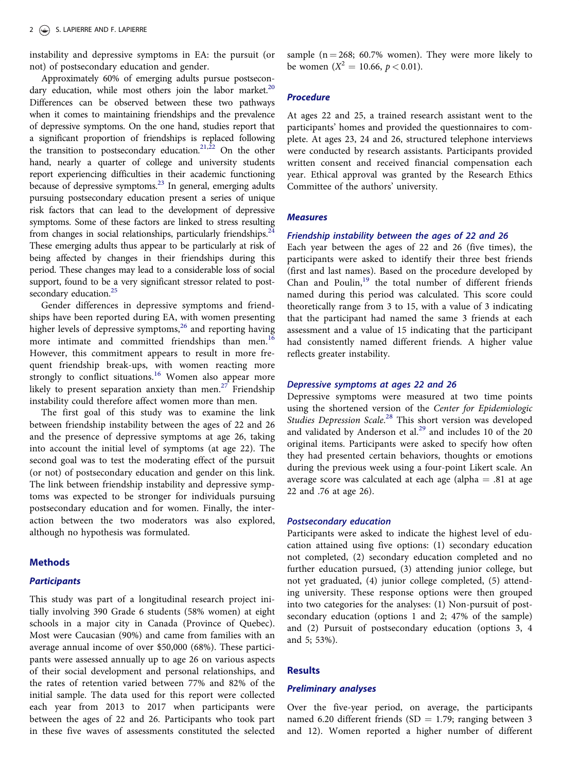<span id="page-1-0"></span>instability and depressive symptoms in EA: the pursuit (or not) of postsecondary education and gender.

Approximately 60% of emerging adults pursue postsecondary education, while most others join the labor market.<sup>20</sup> Differences can be observed between these two pathways when it comes to maintaining friendships and the prevalence of depressive symptoms. On the one hand, studies report that a significant proportion of friendships is replaced following the transition to postsecondary education.<sup>21,[22](#page-4-0)</sup> On the other hand, nearly a quarter of college and university students report experiencing difficulties in their academic functioning because of depressive symptoms.<sup>[23](#page-4-0)</sup> In general, emerging adults pursuing postsecondary education present a series of unique risk factors that can lead to the development of depressive symptoms. Some of these factors are linked to stress resulting from changes in social relationships, particularly friendships.<sup>24</sup> These emerging adults thus appear to be particularly at risk of being affected by changes in their friendships during this period. These changes may lead to a considerable loss of social support, found to be a very significant stressor related to post-secondary education.<sup>[25](#page-4-0)</sup>

Gender differences in depressive symptoms and friendships have been reported during EA, with women presenting higher levels of depressive symptoms,<sup>[26](#page-4-0)</sup> and reporting having more intimate and committed friendships than men.<sup>1</sup> However, this commitment appears to result in more frequent friendship break-ups, with women reacting more strongly to conflict situations.<sup>[16](#page-4-0)</sup> Women also appear more likely to present separation anxiety than men.<sup>[27](#page-4-0)</sup> Friendship instability could therefore affect women more than men.

The first goal of this study was to examine the link between friendship instability between the ages of 22 and 26 and the presence of depressive symptoms at age 26, taking into account the initial level of symptoms (at age 22). The second goal was to test the moderating effect of the pursuit (or not) of postsecondary education and gender on this link. The link between friendship instability and depressive symptoms was expected to be stronger for individuals pursuing postsecondary education and for women. Finally, the interaction between the two moderators was also explored, although no hypothesis was formulated.

## **Methods**

#### **Participants**

This study was part of a longitudinal research project initially involving 390 Grade 6 students (58% women) at eight schools in a major city in Canada (Province of Quebec). Most were Caucasian (90%) and came from families with an average annual income of over \$50,000 (68%). These participants were assessed annually up to age 26 on various aspects of their social development and personal relationships, and the rates of retention varied between 77% and 82% of the initial sample. The data used for this report were collected each year from 2013 to 2017 when participants were between the ages of 22 and 26. Participants who took part in these five waves of assessments constituted the selected

sample ( $n = 268$ ; 60.7% women). They were more likely to be women  $(X^2 = 10.66, p < 0.01)$ .

### Procedure

At ages 22 and 25, a trained research assistant went to the participants' homes and provided the questionnaires to complete. At ages 23, 24 and 26, structured telephone interviews were conducted by research assistants. Participants provided written consent and received financial compensation each year. Ethical approval was granted by the Research Ethics Committee of the authors' university.

## **Measures**

#### Friendship instability between the ages of 22 and 26

Each year between the ages of 22 and 26 (five times), the participants were asked to identify their three best friends (first and last names). Based on the procedure developed by Chan and Poulin, $19$  the total number of different friends named during this period was calculated. This score could theoretically range from 3 to 15, with a value of 3 indicating that the participant had named the same 3 friends at each assessment and a value of 15 indicating that the participant had consistently named different friends. A higher value reflects greater instability.

## Depressive symptoms at ages 22 and 26

Depressive symptoms were measured at two time points using the shortened version of the Center for Epidemiologic Studies Depression Scale.<sup>[28](#page-4-0)</sup> This short version was developed and validated by Anderson et al.<sup>[29](#page-4-0)</sup> and includes 10 of the 20 original items. Participants were asked to specify how often they had presented certain behaviors, thoughts or emotions during the previous week using a four-point Likert scale. An average score was calculated at each age (alpha  $= .81$  at age 22 and .76 at age 26).

#### Postsecondary education

Participants were asked to indicate the highest level of education attained using five options: (1) secondary education not completed, (2) secondary education completed and no further education pursued, (3) attending junior college, but not yet graduated, (4) junior college completed, (5) attending university. These response options were then grouped into two categories for the analyses: (1) Non-pursuit of postsecondary education (options 1 and 2; 47% of the sample) and (2) Pursuit of postsecondary education (options 3, 4 and 5; 53%).

#### Results

## Preliminary analyses

Over the five-year period, on average, the participants named 6.20 different friends (SD = 1.79; ranging between 3 and 12). Women reported a higher number of different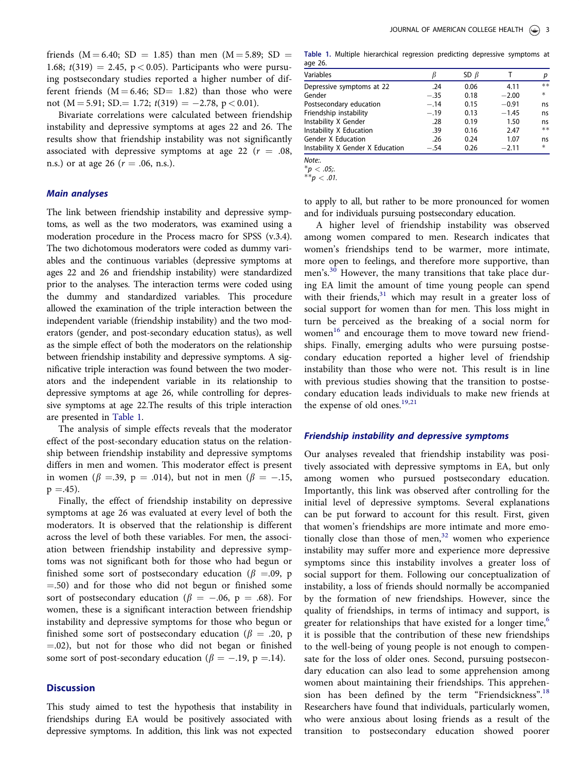<span id="page-2-0"></span>friends ( $M = 6.40$ ; SD = 1.85) than men ( $M = 5.89$ ; SD = 1.68;  $t(319) = 2.45$ , p < 0.05). Participants who were pursuing postsecondary studies reported a higher number of different friends  $(M = 6.46; SD = 1.82)$  than those who were not  $(M = 5.91; SD = 1.72; t(319) = -2.78, p < 0.01$ .

Bivariate correlations were calculated between friendship instability and depressive symptoms at ages 22 and 26. The results show that friendship instability was not significantly associated with depressive symptoms at age 22 ( $r = .08$ , n.s.) or at age 26 ( $r = .06$ , n.s.).

## Main analyses

The link between friendship instability and depressive symptoms, as well as the two moderators, was examined using a moderation procedure in the Process macro for SPSS (v.3.4). The two dichotomous moderators were coded as dummy variables and the continuous variables (depressive symptoms at ages 22 and 26 and friendship instability) were standardized prior to the analyses. The interaction terms were coded using the dummy and standardized variables. This procedure allowed the examination of the triple interaction between the independent variable (friendship instability) and the two moderators (gender, and post-secondary education status), as well as the simple effect of both the moderators on the relationship between friendship instability and depressive symptoms. A significative triple interaction was found between the two moderators and the independent variable in its relationship to depressive symptoms at age 26, while controlling for depressive symptoms at age 22.The results of this triple interaction are presented in Table 1.

The analysis of simple effects reveals that the moderator effect of the post-secondary education status on the relationship between friendship instability and depressive symptoms differs in men and women. This moderator effect is present in women ( $\beta = .39$ ,  $p = .014$ ), but not in men ( $\beta = -.15$ ,  $p = .45$ ).

Finally, the effect of friendship instability on depressive symptoms at age 26 was evaluated at every level of both the moderators. It is observed that the relationship is different across the level of both these variables. For men, the association between friendship instability and depressive symptoms was not significant both for those who had begun or finished some sort of postsecondary education ( $\beta = 0.09$ , p  $=$ .50) and for those who did not begun or finished some sort of postsecondary education ( $\beta = -.06$ , p = .68). For women, these is a significant interaction between friendship instability and depressive symptoms for those who begun or finished some sort of postsecondary education ( $\beta = .20$ , p  $(1,02)$ , but not for those who did not began or finished some sort of post-secondary education ( $\beta = -.19$ , p = .14).

#### **Discussion**

This study aimed to test the hypothesis that instability in friendships during EA would be positively associated with depressive symptoms. In addition, this link was not expected

Table 1. Multiple hierarchical regression predicting depressive symptoms at age 26.

| Variables                        |        | SD $\beta$ |         | D      |
|----------------------------------|--------|------------|---------|--------|
| Depressive symptoms at 22        | .24    | 0.06       | 4.11    | $**$   |
| Gender                           | $-.35$ | 0.18       | $-2.00$ | $*$    |
| Postsecondary education          | $-.14$ | 0.15       | $-0.91$ | ns     |
| Friendship instability           | $-.19$ | 0.13       | $-1.45$ | ns.    |
| Instability X Gender             | .28    | 0.19       | 1.50    | ns     |
| Instability X Education          | .39    | 0.16       | 2.47    | $**$   |
| <b>Gender X Education</b>        | .26    | 0.24       | 1.07    | ns     |
| Instability X Gender X Education | $-.54$ | 0.26       | $-2.11$ | $\ast$ |

Note:.

 $^{\ast}p < .05$ ;.  ${}^{**}p < .01$ .

to apply to all, but rather to be more pronounced for women and for individuals pursuing postsecondary education.

A higher level of friendship instability was observed among women compared to men. Research indicates that women's friendships tend to be warmer, more intimate, more open to feelings, and therefore more supportive, than men's.<sup>[30](#page-4-0)</sup> However, the many transitions that take place during EA limit the amount of time young people can spend with their friends, $31$  which may result in a greater loss of social support for women than for men. This loss might in turn be perceived as the breaking of a social norm for women<sup>[16](#page-4-0)</sup> and encourage them to move toward new friendships. Finally, emerging adults who were pursuing postsecondary education reported a higher level of friendship instability than those who were not. This result is in line with previous studies showing that the transition to postsecondary education leads individuals to make new friends at the expense of old ones.<sup>[19,21](#page-4-0)</sup>

#### Friendship instability and depressive symptoms

Our analyses revealed that friendship instability was positively associated with depressive symptoms in EA, but only among women who pursued postsecondary education. Importantly, this link was observed after controlling for the initial level of depressive symptoms. Several explanations can be put forward to account for this result. First, given that women's friendships are more intimate and more emotionally close than those of men, $32$  women who experience instability may suffer more and experience more depressive symptoms since this instability involves a greater loss of social support for them. Following our conceptualization of instability, a loss of friends should normally be accompanied by the formation of new friendships. However, since the quality of friendships, in terms of intimacy and support, is greater for relationships that have existed for a longer time,<sup>6</sup> it is possible that the contribution of these new friendships to the well-being of young people is not enough to compensate for the loss of older ones. Second, pursuing postsecondary education can also lead to some apprehension among women about maintaining their friendships. This apprehen-sion has been defined by the term "Friendsickness".<sup>[18](#page-4-0)</sup> Researchers have found that individuals, particularly women, who were anxious about losing friends as a result of the transition to postsecondary education showed poorer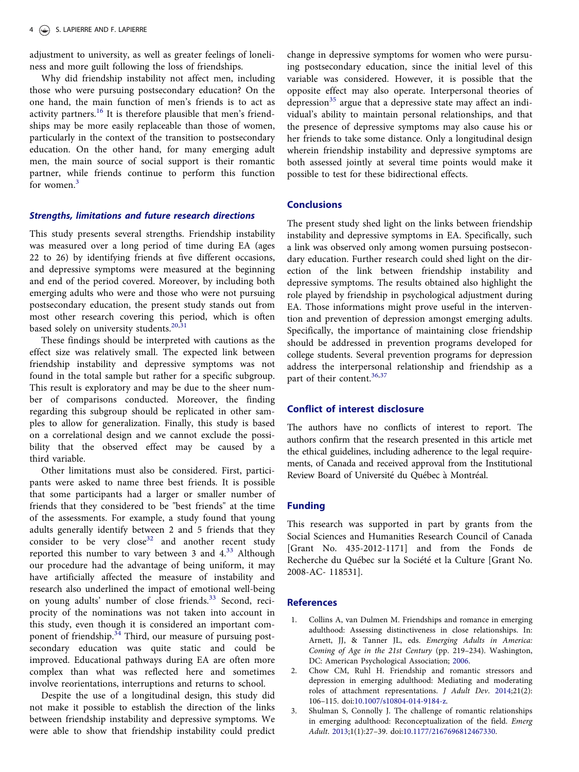<span id="page-3-0"></span>adjustment to university, as well as greater feelings of loneliness and more guilt following the loss of friendships.

Why did friendship instability not affect men, including those who were pursuing postsecondary education? On the one hand, the main function of men's friends is to act as activity partners.<sup>[16](#page-4-0)</sup> It is therefore plausible that men's friendships may be more easily replaceable than those of women, particularly in the context of the transition to postsecondary education. On the other hand, for many emerging adult men, the main source of social support is their romantic partner, while friends continue to perform this function for women.<sup>3</sup>

## Strengths, limitations and future research directions

This study presents several strengths. Friendship instability was measured over a long period of time during EA (ages 22 to 26) by identifying friends at five different occasions, and depressive symptoms were measured at the beginning and end of the period covered. Moreover, by including both emerging adults who were and those who were not pursuing postsecondary education, the present study stands out from most other research covering this period, which is often based solely on university students.<sup>[20,31](#page-4-0)</sup>

These findings should be interpreted with cautions as the effect size was relatively small. The expected link between friendship instability and depressive symptoms was not found in the total sample but rather for a specific subgroup. This result is exploratory and may be due to the sheer number of comparisons conducted. Moreover, the finding regarding this subgroup should be replicated in other samples to allow for generalization. Finally, this study is based on a correlational design and we cannot exclude the possibility that the observed effect may be caused by a third variable.

Other limitations must also be considered. First, participants were asked to name three best friends. It is possible that some participants had a larger or smaller number of friends that they considered to be "best friends" at the time of the assessments. For example, a study found that young adults generally identify between 2 and 5 friends that they consider to be very  $close^{32}$  $close^{32}$  $close^{32}$  and another recent study reported this number to vary between 3 and 4.<sup>[33](#page-4-0)</sup> Although our procedure had the advantage of being uniform, it may have artificially affected the measure of instability and research also underlined the impact of emotional well-being on young adults' number of close friends.<sup>[33](#page-4-0)</sup> Second, reciprocity of the nominations was not taken into account in this study, even though it is considered an important com-ponent of friendship.<sup>[34](#page-4-0)</sup> Third, our measure of pursuing postsecondary education was quite static and could be improved. Educational pathways during EA are often more complex than what was reflected here and sometimes involve reorientations, interruptions and returns to school.

Despite the use of a longitudinal design, this study did not make it possible to establish the direction of the links between friendship instability and depressive symptoms. We were able to show that friendship instability could predict change in depressive symptoms for women who were pursuing postsecondary education, since the initial level of this variable was considered. However, it is possible that the opposite effect may also operate. Interpersonal theories of depression<sup>[35](#page-4-0)</sup> argue that a depressive state may affect an individual's ability to maintain personal relationships, and that the presence of depressive symptoms may also cause his or her friends to take some distance. Only a longitudinal design wherein friendship instability and depressive symptoms are both assessed jointly at several time points would make it possible to test for these bidirectional effects.

## **Conclusions**

The present study shed light on the links between friendship instability and depressive symptoms in EA. Specifically, such a link was observed only among women pursuing postsecondary education. Further research could shed light on the direction of the link between friendship instability and depressive symptoms. The results obtained also highlight the role played by friendship in psychological adjustment during EA. Those informations might prove useful in the intervention and prevention of depression amongst emerging adults. Specifically, the importance of maintaining close friendship should be addressed in prevention programs developed for college students. Several prevention programs for depression address the interpersonal relationship and friendship as a part of their content.<sup>[36](#page-4-0),[37](#page-4-0)</sup>

#### Conflict of interest disclosure

The authors have no conflicts of interest to report. The authors confirm that the research presented in this article met the ethical guidelines, including adherence to the legal requirements, of Canada and received approval from the Institutional Review Board of Université du Québec à Montréal.

## Funding

This research was supported in part by grants from the Social Sciences and Humanities Research Council of Canada [Grant No. 435-2012-1171] and from the Fonds de Recherche du Québec sur la Société et la Culture [Grant No. 2008-AC- 118531].

## References

- [1.](#page-0-0) Collins A, van Dulmen M. Friendships and romance in emerging adulthood: Assessing distinctiveness in close relationships. In: Arnett, JJ, & Tanner JL, eds. Emerging Adults in America: Coming of Age in the 21st Century (pp. 219–234). Washington, DC: American Psychological Association; 2006.
- [2.](#page-0-0) Chow CM, Ruhl H. Friendship and romantic stressors and depression in emerging adulthood: Mediating and moderating roles of attachment representations. J Adult Dev. 2014;21(2): 106–115. doi:[10.1007/s10804-014-9184-z.](https://doi.org/10.1007/s10804-014-9184-z)
- [3.](#page-0-0) Shulman S, Connolly J. The challenge of romantic relationships in emerging adulthood: Reconceptualization of the field. Emerg Adult. 2013;1(1):27–39. doi:[10.1177/2167696812467330](https://doi.org/10.1177/2167696812467330).